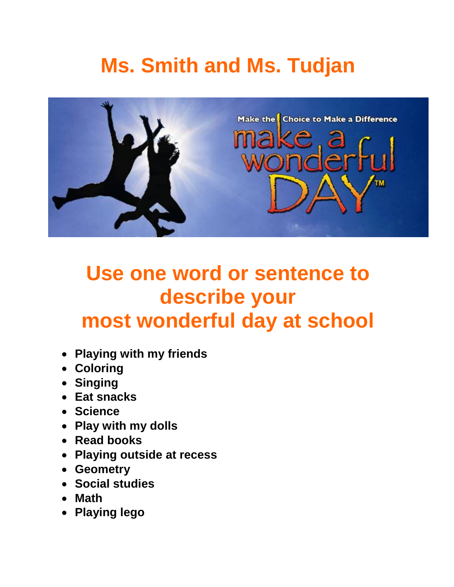# **[Ms.](mailto:slswift@cbe.ab.ca) Smith and Ms. Tudjan**



### **Use one word or sentence to describe your most wonderful day at school**

- **Playing with my friends**
- **Coloring**
- **Singing**
- **Eat snacks**
- **Science**
- **Play with my dolls**
- **Read books**
- **Playing outside at recess**
- **Geometry**
- **Social studies**
- **Math**
- **Playing lego**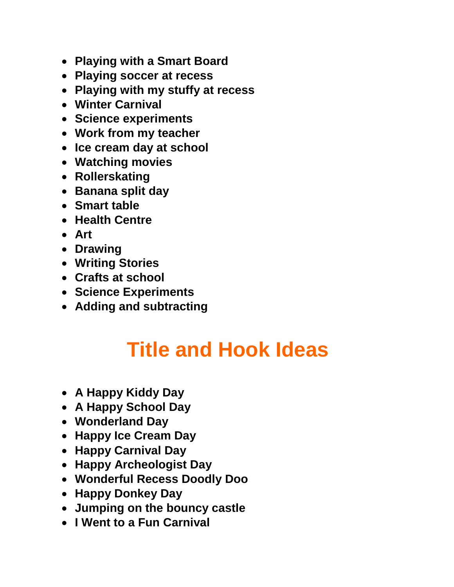- **Playing with a Smart Board**
- **Playing soccer at recess**
- **Playing with my stuffy at recess**
- **Winter Carnival**
- **Science experiments**
- **Work from my teacher**
- **Ice cream day at school**
- **Watching movies**
- **Rollerskating**
- **Banana split day**
- **Smart table**
- **Health Centre**
- **Art**
- **Drawing**
- **Writing Stories**
- **Crafts at school**
- **Science Experiments**
- **Adding and subtracting**

### **Title and Hook Ideas**

- **A Happy Kiddy Day**
- **A Happy School Day**
- **Wonderland Day**
- **Happy Ice Cream Day**
- **Happy Carnival Day**
- **Happy Archeologist Day**
- **Wonderful Recess Doodly Doo**
- **Happy Donkey Day**
- **Jumping on the bouncy castle**
- **I Went to a Fun Carnival**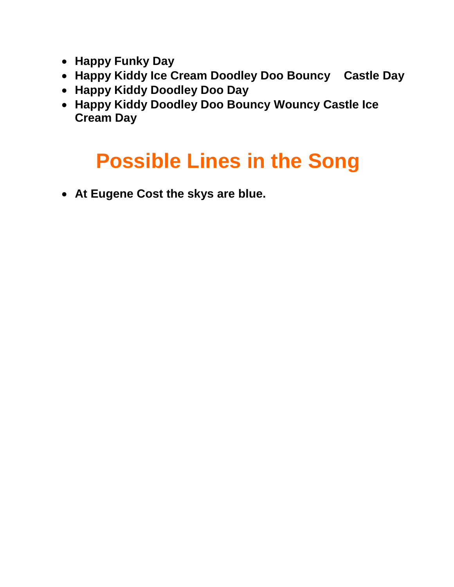- **Happy Funky Day**
- **Happy Kiddy Ice Cream Doodley Doo Bouncy Castle Day**
- **Happy Kiddy Doodley Doo Day**
- **Happy Kiddy Doodley Doo Bouncy Wouncy Castle Ice Cream Day**

# **Possible Lines in the Song**

**At Eugene Cost the skys are blue.**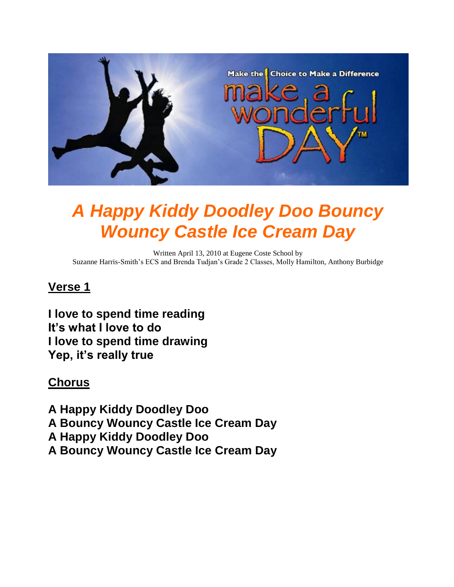

### *A Happy Kiddy Doodley Doo Bouncy Wouncy Castle Ice Cream Day*

Written April 13, 2010 at Eugene Coste School by Suzanne Harris-Smith's ECS and Brenda Tudjan's Grade 2 Classes, Molly Hamilton, Anthony Burbidge

#### **Verse 1**

**I love to spend time reading It's what I love to do I love to spend time drawing Yep, it's really true**

#### **Chorus**

**A Happy Kiddy Doodley Doo A Bouncy Wouncy Castle Ice Cream Day A Happy Kiddy Doodley Doo A Bouncy Wouncy Castle Ice Cream Day**